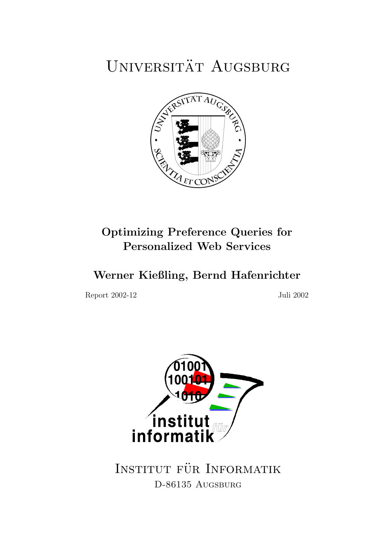# UNIVERSITÄT AUGSBURG



# Optimizing Preference Queries for Personalized Web Services

Werner Kießling, Bernd Hafenrichter

Report 2002-12 Juli 2002



INSTITUT FÜR INFORMATIK D-86135 AUGSBURG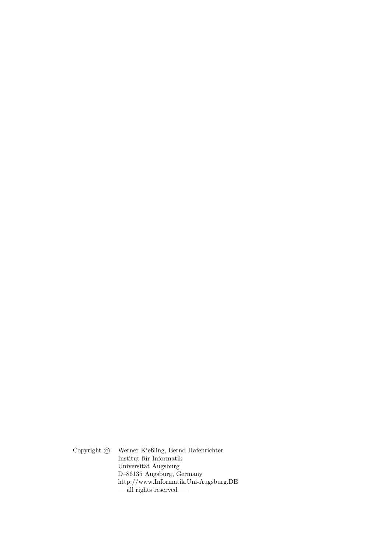Copyright  $\odot$  Werner Kießling, Bernd Hafenrichter Institut für Informatik Universität Augsburg D–86135 Augsburg, Germany http://www.Informatik.Uni-Augsburg.DE — all rights reserved —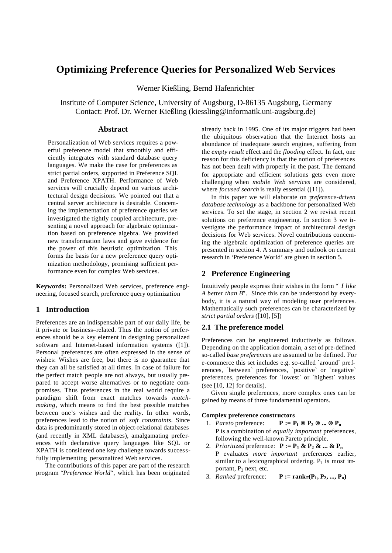# **Optimizing Preference Queries for Personalized Web Services**

Werner Kießling, Bernd Hafenrichter

Institute of Computer Science, University of Augsburg, D-86135 Augsburg, Germany Contact: Prof. Dr. Werner Kießling (kiessling@informatik.uni-augsburg.de)

# **Abstract**

Personalization of Web services requires a powerful preference model that smoothly and efficiently integrates with standard database query languages. We make the case for preferences as strict partial orders, supported in Preference SQL and Preference XPATH. Performance of Web services will crucially depend on various architectural design decisions. We pointed out that a central server architecture is desirable. Concerning the implementation of preference queries we investigated the tightly coupled architecture, presenting a novel approach for algebraic optimization based on preference algebra. We provided new transformation laws and gave evidence for the power of this heuristic optimization. This forms the basis for a new preference query optimization methodology, promising sufficient performance even for complex Web services.

**Keywords:** Personalized Web services, preference engineering, focused search, preference query optimization

# **1 Introduction**

Preferences are an indispensable part of our daily life, be it private or business–related. Thus the notion of preferences should be a key element in designing personalized software and Internet-based information systems ([1]). Personal preferences are often expressed in the sense of wishes: Wishes are free, but there is no guarantee that they can all be satisfied at all times. In case of failure for the perfect match people are not always, but usually prepared to accept worse alternatives or to negotiate compromises. Thus preferences in the real world require a paradigm shift from exact matches towards *matchmaking*, which means to find the best possible matches between one's wishes and the reality. In other words, preferences lead to the notion of *soft constraints*. Since data is predominantly stored in object-relational databases (and recently in XML databases), amalgamating preferences with declarative query languages like SQL or XPATH is considered one key challenge towards successfully implementing personalized Web services.

The contributions of this paper are part of the research program "*Preference World*", which has been originated already back in 1995. One of its major triggers had been the ubiquitous observation that the Internet hosts an abundance of inadequate search engines, suffering from the *empty result* effect and the *flooding* effect. In fact, one reason for this deficiency is that the notion of preferences has not been dealt with properly in the past. The demand for appropriate and efficient solutions gets even more challenging when *mobile Web services* are considered, where *focused search* is really essential ([11]).

In this paper we will elaborate on p*reference-driven database technology* as a backbone for personalized Web services. To set the stage, in section 2 we revisit recent solutions on preference engineering. In section 3 we investigate the performance impact of architectural design decisions for Web services. Novel contributions concerning the algebraic optimization of preference queries are presented in section 4. A summary and outlook on current research in 'Prefe rence World' are given in section 5.

# **2 Preference Engineering**

Intuitively people express their wishes in the form " *I like A better than B*". Since this can be understood by everybody, it is a natural way of modeling user preferences. Mathematically such preferences can be characterized by *strict partial orders* ([10], [5])

#### **2.1 The preference model**

Preferences can be engineered inductively as follows. Depending on the application domain, a set of pre-defined so-called *base preferences* are assumed to be defined. For e-commerce this set includes e.g. so-called `around` preferences, `between` preferences, `positive` or `negative` preferences, preferences for `lowest` or `highest` values (see [10, 12] for details).

Given single preferences, more complex ones can be gained by means of three fundamental operators.

#### **Complex preference constructors**

- 1. *Pareto* preference:  $P := P_1 \mathbf{\ddot{A}} P_2 \mathbf{\ddot{A}} ... \mathbf{\ddot{A}} P_n$ P is a combination of *equally important* preferences, following the well-known Pareto principle.
- 2. *Prioritized* preference:  $P := P_1 \& P_2 \& \dots \& P_n$ P evaluates *more important* preferences earlier, similar to a lexicographical ordering.  $P_1$  is most important, P<sub>2</sub> next, etc.
- 3. *Ranked* preference:  $P := \text{rank}_{F}(P_1, P_2, ..., P_n)$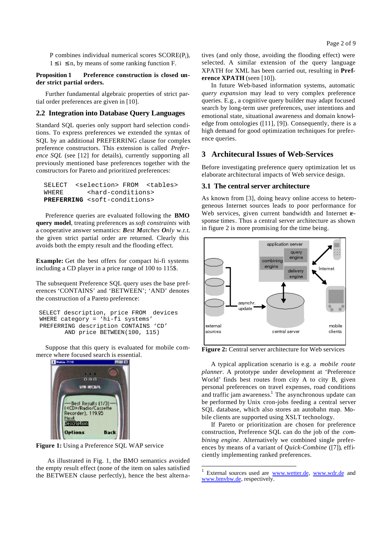P combines individual numerical scores SCORE(Pi),  $1 \le i \le n$ , by means of some ranking function F.

#### **Proposition 1 Preference construction is closed under strict partial orders.**

Further fundamental algebraic properties of strict partial order preferences are given in [10].

#### **2.2 Integration into Database Query Languages**

Standard SQL queries only support hard selection conditions. To express preferences we extended the syntax of SQL by an additional PREFERRING clause for complex preference constructors. This extension is called *Preference SQL* (see [12] for details), currently supporting all previously mentioned base preferences together with the constructors for Pareto and prioritized preferences:

```
 SELECT <selection> FROM <tables>
WHERE <hard-conditions>
PREFERRING <soft-conditions>
```
Preference queries are evaluated following the **BMO query model**, treating preferences as *soft constraints* with a cooperative answer semantics: *Best Matches Only* w.r.t. the given strict partial order are returned. Clearly this avoids both the empty result and the flooding effect.

**Example:** Get the best offers for compact hi-fi systems including a CD player in a price range of 100 to 115\$.

The subsequent Preference SQL query uses the base preferences 'CONTAINS' and 'BETWEEN'; 'AND' denotes the construction of a Pareto preference:

```
 SELECT description, price FROM devices
 WHERE category = 'hi-fi systems'
 PREFERRING description CONTAINS 'CD'
        AND price BETWEEN(100, 115)
```
Suppose that this query is evaluated for mobile commerce where focused search is essential.



**Figure 1:** Using a Preference SQL WAP service

 As illustrated in Fig. 1, the BMO semantics avoided the empty result effect (none of the item on sales satisfied the BETWEEN clause perfectly), hence the best alternatives (and only those, avoiding the flooding effect) were selected. A similar extension of the query language XPATH for XML has been carried out, resulting in **Preference XPATH** (seen [10]).

In future Web-based information systems, automatic *query expansion* may lead to very complex preference queries. E.g., a cognitive query builder may adapt focused search by long-term user preferences, user intentions and emotional state, situational awareness and domain knowledge from ontologies ([11], [9]). Consequently, there is a high demand for good optimization techniques for preference queries.

# **3 Architecural Issues of Web-Services**

Before investigating preference query optimization let us elaborate architectural impacts of Web service design.

#### **3.1 The central server architecture**

As known from [3], doing heavy online access to heterogeneous Internet sources leads to poor performance for Web services, given current bandwidth and Internet **re**sponse times. Thus a central server architecture as shown in figure 2 is more promising for the time being.



**Figure 2:** Central server architecture for Web services

A typical application scenario is e.g. a *mobile route planner*. A prototype under development at 'Preference World' finds best routes from city A to city B, given personal preferences on travel expenses, road conditions and traffic jam awareness.<sup>1</sup> The asynchronous update can be performed by Unix cron-jobs feeding a central server SQL database, which also stores an autobahn map. Mobile clients are supported using XSLT technology.

If Pareto or prioritization are chosen for preference construction, Preference SQL can do the job of the *combining engine*. Alternatively we combined single preferences by means of a variant of *Quick-Combine* ([7]), efficiently implementing ranked preferences.

l

<sup>1</sup> External sources used are www.wetter.de, www.wdr.de and www.bmvbw.de, respectively.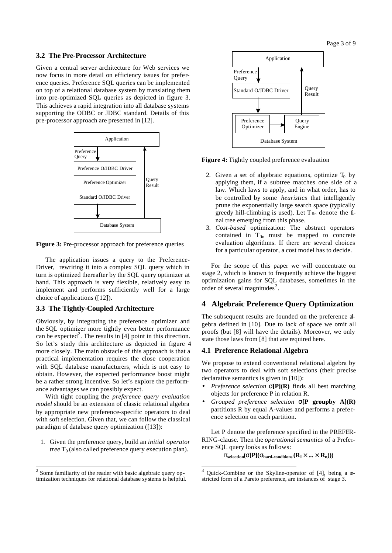Page 3 of 9

#### **3.2 The Pre-Processor Architecture**

Given a central server architecture for Web services we now focus in more detail on efficiency issues for preference queries. Preference SQL queries can be implemented on top of a relational database system by translating them into pre-optimized SQL queries as depicted in figure 3. This achieves a rapid integration into all database systems supporting the ODBC or JDBC standard. Details of this pre-processor approach are presented in [12].



**Figure 3:** Pre-processor approach for preference queries

The application issues a query to the Preference-Driver, rewriting it into a complex SQL query which in turn is optimized thereafter by the SQL query optimizer at hand. This approach is very flexible, relatively easy to implement and performs sufficiently well for a large choice of applications ([12]).

#### **3.3 The Tightly-Coupled Architecture**

Obviously, by integrating the preference optimizer and the SQL optimizer more tightly even better performance can be expected<sup>2</sup>. The results in  $[4]$  point in this direction. So let's study this architecture as depicted in figure 4 more closely. The main obstacle of this approach is that a practical implementation requires the close cooperation with SQL database manufacturers, which is not easy to obtain. However, the expected performance boost might be a rather strong incentive. So let's explore the performance advantages we can possibly expect.

With tight coupling the *preference query evaluation model* should be an extension of classic relational algebra by appropriate new preference-specific operators to deal with soft selection. Given that, we can follow the classical paradigm of database query optimization ([13]):

1. Given the preference query, build an *initial operator tree*  $T_0$  (also called preference query execution plan).

l



**Figure 4:** Tightly coupled preference evaluation

- 2. Given a set of algebraic equations, optimize  $T_0$  by applying them, if a subtree matches one side of a law. Which laws to apply, and in what order, has to be controlled by some *heuristics* that intelligently prune the exponentially large search space (typically greedy hill-climbing is used). Let  $T_{fin}$  denote the final tree emerging from this phase.
- 3. *Cost-based* optimization: The abstract operators contained in  $T_{fin}$  must be mapped to concrete evaluation algorithms. If there are several choices for a particular operator, a cost model has to decide.

For the scope of this paper we will concentrate on stage 2, which is known to frequently achieve the biggest optimization gains for SQL databases, sometimes in the order of several magnitudes $3$ .

#### **4 Algebraic Preference Query Optimization**

The subsequent results are founded on the preference algebra defined in [10]. Due to lack of space we omit all proofs (but [8] will have the details). Moreover, we only state those laws from [8] that are required here.

#### **4.1 Preference Relational Algebra**

l

We propose to extend conventional relational algebra by two operators to deal with soft selections (their precise declarative semantics is given in [10]):

- *Preference selection* **s[P](R)** finds all best matching objects for preference P in relation R.
- *Grouped preference selection* **s[P groupby A](R)** partitions R by equal A-values and performs a prefe rence selection on each partition.

Let P denote the preference specified in the PREFER-RING-clause. Then the *operational semantics* of a Preference SQL query looks as follows:

 $\textbf{p}_{\text{selection}}(\textbf{s}[P](\textbf{s}_{\text{hard-conditions}}(R_1 \cdot \ldots \cdot R_n)))$ 

 $2^{2}$  Some familiarity of the reader with basic algebraic query optimization techniques for relational database systems is helpful.

Quick-Combine or the Skyline-operator of [4], being a restricted form of a Pareto preference, are instances of stage 3.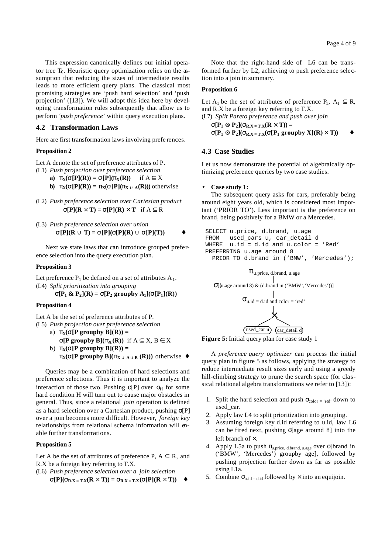This expression canonically defines our initial operator tree  $T_0$ . Heuristic query optimization relies on the assumption that reducing the sizes of intermediate results leads to more efficient query plans. The classical most promising strategies are 'push hard selection' and 'push projection' ([13]). We will adopt this idea here by developing transformation rules subsequently that allow us to perform '*push preference*' within query execution plans.

### **4.2 Transformation Laws**

Here are first transformation laws involving prefe rences.

#### **Proposition 2**

Let A denote the set of preference attributes of P.

- (L1) *Push projection over preference selection* **a)**  $\mathbf{p}_X(\mathbf{s}[P](R)) = \mathbf{s}[P](\mathbf{p}_X(R))$  if  $A \subseteq X$ **b)**  $\mathbf{p}_X(\mathbf{s}[P](R)) = \mathbf{p}_X(\mathbf{s}[P](\mathbf{p}_X \mathbf{\tilde{E}}_A(R)))$  otherwise
- (L2) *Push preference selection over Cartesian product*  $\mathbf{s}[P](R \cdot T) = \mathbf{s}[P](R) \cdot T$  if  $A \subseteq R$
- (L3) *Push preference selection over union*  $\mathbf{S}[\mathbf{P}](\mathbf{R}\mathbf{\tilde{E}}\mathbf{T}) = \mathbf{S}[\mathbf{P}](\mathbf{S}[\mathbf{P}](\mathbf{R})\mathbf{\tilde{E}}\mathbf{S}[\mathbf{P}](\mathbf{T}))$

Next we state laws that can introduce grouped preference selection into the query execution plan.

#### **Proposition 3**

Let preference  $P_1$  be defined on a set of attributes  $A_1$ . (L4) *Split prioritization into grouping*

 ${\bf s}[P_1 \& P_2]({\bf R}) = {\bf s}[P_2 \text{ group by } A_1]({\bf s}[P_1]({\bf R}))$ 

#### **Proposition 4**

Let A be the set of preference attributes of P.

- (L5) *Push projection over preference selection*
	- a)  $\mathbf{p}_X(\mathbf{s}[P \text{ groupby } B](R)) =$ **s**[P groupby B]( $\mathbf{p}_X(\mathbf{R})$ ) if  $A \subseteq X$ ,  $B \in X$ b)  $\mathbf{p}_X(\mathbf{s}[P \text{ groupby } B](R)) =$ **px(s**[P groupby B]( $\mathbf{p}_{\mathbf{X}\tilde{\mathbf{E}}}$   $_{\mathbf{A}\tilde{\mathbf{E}}}$   $_{\mathbf{B}}$  **(R))**) otherwise **"**

Queries may be a combination of hard selections and preference selections. Thus it is important to analyze the interaction of those two. Pushing  $\sigma[P]$  over  $\sigma_H$  for some hard condition H will turn out to cause major obstacles in general. Thus, since a relational *join* operation is defined as a hard selection over a Cartesian product, pushing σ[P] over a join becomes more difficult. However, *foreign key* relationships from relational schema information will enable further transformations.

#### **Proposition 5**

Let A be the set of attributes of preference P,  $A \subseteq R$ , and R.X be a foreign key referring to T.X.

(L6) *Push preference selection over a join selection* **s**[P]( $\mathbf{s}_{R,X=T,X}(R \cdot T)$ ) =  $\mathbf{s}_{R,X=T,X}(\mathbf{s}[P](R \cdot T))$ 

Note that the right-hand side of L6 can be transformed further by L2, achieving to push preference selection into a join in summary.

#### **Proposition 6**

Let  $A_1$  be the set of attributes of preference  $P_1$ ,  $A_1 \subseteq R$ , and R.X be a foreign key referring to T.X.

```
(L7) Split Pareto preference and push over join
     s[P_1 \mathbf{\ddot{A}} P_2](\mathbf{s}_{R,X=T,X}(R \cdot T)) =s[P_1 Ä P_2](\mathbf{s}_{R,X=T,X}(\mathbf{s}[P_1 \text{ group by } X](R)<sup>\uparrow</sup> T))
```
### **4.3 Case Studies**

Let us now demonstrate the potential of algebraically optimizing preference queries by two case studies.

#### • **Case study 1:**

The subsequent query asks for cars, preferably being around eight years old, which is considered most important ('PRIOR TO'). Less important is the preference on brand, being positively for a BMW or a Mercedes.

```
 SELECT u.price, d.brand, u.age
 FROM used_cars u, car_detail d
WHERE u.id = d.id and u.color = 'Red' PREFERRING u.age around 8
  PRIOR TO d.brand in ('BMW', 'Mercedes');
```






A *preference query optimizer* can process the initial query plan in figure 5 as follows, applying the strategy to reduce intermediate result sizes early and using a greedy hill-climbing strategy to prune the search space (for classical relational algebra transformations we refer to [13]):

- 1. Split the hard selection and push  $\sigma_{\text{color}} = \text{`red'}$  down to used\_car.
- 2. Apply law L4 to split prioritization into grouping.
- 3. Assuming foreign key d.id referring to u.id, law L6 can be fired next, pushing σ[age around 8] into the left branch of ×.
- 4. Apply L5a to push  $\pi_{u.\text{price, d.brand, u.age}}$  over  $\sigma[\text{brand in}$ ('BMW', 'Mercedes') groupby age], followed by pushing projection further down as far as possible using L1a.
- 5. Combine  $\sigma_{u_id = d_id}$  followed by  $\times$  into an equijoin.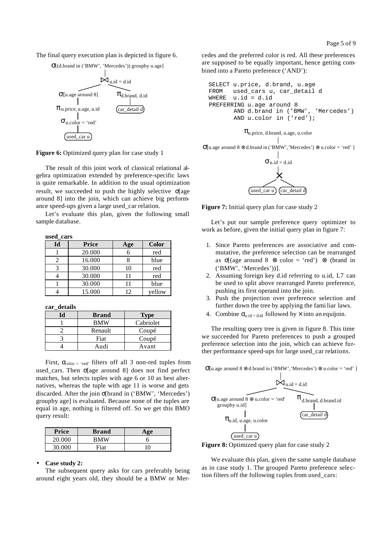The final query execution plan is depicted in figure 6.

σ[(d.brand in ('BMW', 'Mercedes')) groupby u.age]



Figure 6: Optimized query plan for case study 1

The result of this joint work of classical relational algebra optimization extended by preference-specific laws is quite remarkable. In addition to the usual optimization result, we succeeded to push the highly selective σ[age around 8] into the join, which can achieve big performance speed-ups given a large used\_car relation.

Let's evaluate this plan, given the following small sample database.

**used\_cars**

| Id | Price  | Age | <b>Color</b> |
|----|--------|-----|--------------|
|    | 20.000 |     | red          |
|    | 16.000 |     | blue         |
|    | 30.000 | 10  | red          |
|    | 30.000 |     | red          |
|    | 30.000 |     | blue         |
|    | 15.000 | 12  | vellow       |

**car\_details**

| ď | <b>Brand</b> | <b>Type</b> |
|---|--------------|-------------|
|   | <b>BMW</b>   | Cabriolet   |
|   | Renault      | Coupé       |
|   | Fiat         | Coupé       |
|   | Andi         | Avant       |

First,  $\sigma_{\text{color}} = \text{`red'}$  filters off all 3 non-red tuples from used cars. Then σ[age around 8] does not find perfect matches, but selects tuples with age 6 or 10 as best alternatives, whereas the tuple with age 11 is worse and gets discarded. After the join σ[brand in ('BMW', 'Mercedes') groupby age] is evaluated. Because none of the tuples are equal in age, nothing is filtered off. So we get this BMO query result:

| <b>Price</b> | <b>Brand</b> | $\sigma$ |
|--------------|--------------|----------|
| 20.000       | RMW          |          |
| 30.000       | Fiat         |          |

#### • **Case study 2:**

The subsequent query asks for cars preferably being around eight years old, they should be a BMW or Mercedes and the preferred color is red. All these preferences are supposed to be equally important, hence getting combined into a Pareto preference ('AND'):





 $\sigma$ [u.age around 8 ⊗ d.brand in ('BMW','Mercedes') ⊗ u.color = 'red' ]



**Figure 7:** Initial query plan for case study 2

Let's put our sample preference query optimizer to work as before, given the initial query plan in figure 7:

- 1. Since Pareto preferences are associative and commutative, the preference selection can be rearranged as  $\sigma$ [(age around 8 ⊗ color = 'red') ⊗ (brand in ('BMW', 'Mercedes'))].
- 2. Assuming foreign key d.id referring to u.id, L7 can be used to split above rearranged Pareto preference, pushing its first operand into the join.
- 3. Push the projection over preference selection and further down the tree by applying the fami liar laws.
- 4. Combine  $\sigma_{u_id = d_id}$  followed by  $\times$  into an equijoin.

The resulting query tree is given in figure 8. This time we succeeded for Pareto preferences to push a grouped preference selection into the join, which can achieve further performance speed-ups for large used\_car relations.

 $\dot{\bowtie}_{u.id = d.id}$  $\pi$ <sub>d.brand, d.brand.id</sub>  $\pi_{u.id, u. age, u. color}$  $\sigma$ [u.age around 8 ⊗ u.color = 'red' groupby u.id]  $\sigma$ [u.age around 8 ⊗ d.brand in ('BMW','Mercedes') ⊗ u.color = 'red' ] used\_car u car\_detail d



We evaluate this plan, given the same sample database as in case study 1. The grouped Pareto preference selection filters off the following tuples from used\_cars: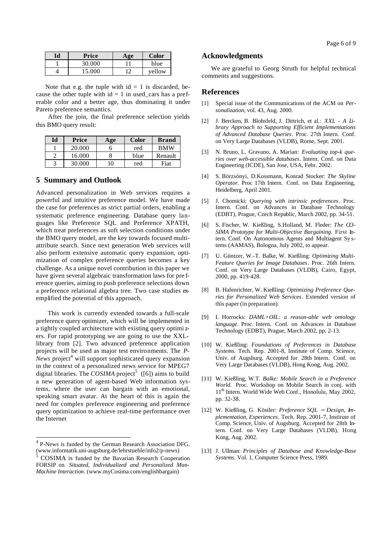| Price  | A 9e | Color  |
|--------|------|--------|
| 30.000 |      | blue   |
| 15.000 | 1つ   | vellow |

Note that e.g. the tuple with  $id = 1$  is discarded, because the other tuple with  $id = 1$  in used\_cars has a preferable color and a better age, thus dominating it under Pareto preference semantics.

 After the join, the final preference selection yields this BMO query result:

| Id | Price  | Age | <b>Color</b> | <b>Brand</b> |
|----|--------|-----|--------------|--------------|
|    | 20,000 |     | red          | <b>BMW</b>   |
|    | 16.000 |     | blue         | Renault      |
|    | 30.000 | 10  | red          | Fiat         |

#### **5 Summary and Outlook**

Advanced personalization in Web services requires a powerful and intuitive preference model. We have made the case for preferences as strict partial orders, enabling a systematic preference engineering. Database query languages like Preference SQL and Preference XPATH, which treat preferences as soft selection conditions under the BMO query model, are the key towards focused multiattribute search. Since next generation Web services will also perform extensive automatic query expansion, optimization of complex preference queries becomes a key challenge. As a unique novel contribution in this paper we have given several algebraic transformation laws for pre ference queries, aiming to push preference selections down a preference relational algebra tree. Two case studies exemplified the potential of this approach.

 This work is currently extended towards a full-scale preference query optimizer, which will be implemented in a tightly coupled architecture with existing query optimi zers. For rapid prototyping we are going to use the XXLlibrary from [2]. Two advanced preference application projects will be used as major test environments. The *P-News* project<sup>4</sup> will support sophisticated query expansion in the context of a personalized news service for MPEG7 digital libraries. The *COSIMA* project<sup>5</sup> ([6]) aims to build a new generation of agent-based Web information systems, where the user can bargain with an emotional, speaking smart avatar. At the heart of this is again the need for complex preference engineering and preference query optimization to achieve real-time performance over the Internet

#### **Acknowledgments**

We are grateful to Georg Struth for helpful technical comments and suggestions.

#### **References**

- [1] Special issue of the Communications of the ACM on *Personalization*, vol. 43, Aug. 2000.
- [2] J. Bercken, B. Blohsfeld, J. Dittrich, et al.: *XXL A Library Approach to Supporting Efficient Implementations of Advanced Database Queries*. Proc. 27th Intern. Conf. on Very Large Databases (VLDB), Rome, Sept. 2001.
- [3] N. Bruno, L. Gravano, A. Marian: *Evaluating top-k queries over web-accessible databases*. Intern. Conf. on Data Engineering (ICDE), San Jose, USA, Febr. 2002.
- [4] S. Börzsönyi, D.Kossmann, Konrad Stocker: *The Skyline Operator*. Proc 17th Intern. Conf. on Data Engineering, Heidelberg, April 2001.
- [5] J. Chomicki: *Querying with intrinsic preferences*. Proc. Intern. Conf. on Advances in Database Technology (EDBT), Prague, Czech Republic, March 2002, pp. 34-51.
- [6] S. Fischer, W. Kießling, S.Holland, M. Fleder: *The CO-SIMA Prototype for Multi-Objective Bargaining*. First Intern. Conf. On Autonomous Agents and Multiagent Sy stems (AAMAS), Bologna, July 2002, to appear.
- [7] U. Güntzer, W.-T. Balke, W. Kießling: *Optimizing Multi-Feature Queries for Image Databases*. Proc. 26th Intern. Conf. on Very Large Databases (VLDB), Cairo, Egypt, 2000, pp. 419-428.
- [8] B. Hafenrichter, W. Kießling: *Optimizing Preference Queries for Personalized Web Services*. Extended version of this paper (in preparation).
- [9] I. Horrocks: *DAML+OIL: a reason-able web ontology language*. Proc. Intern. Conf. on Advances in Database Technology (EDBT), Prague, March 2002, pp. 2-13.
- [10] W. Kießling: *Foundations of Preferences in Database Systems.* Tech. Rep. 2001-8, Institute of Comp. Science, Univ. of Augsburg. Accepted for 28th Intern. Conf. on Very Large Databases (VLDB), Hong Kong, Aug. 2002.
- [11] W. Kießling, W.T. *Balke: Mobile Search in a Preference World*. Proc. Workshop on Mobile Search in conj. with 11<sup>th</sup> Intern. World Wide Web Conf., Honolulu, May 2002, pp. 32-38.
- [12] W. Kießling, G. Köstler: *Preference SQL - Design, Implementation, Experiences*. Tech. Rep. 2001-7, Institute of Comp. Science, Univ. of Augsburg. Accepted for 28th Intern. Conf. on Very Large Databases (VLDB), Hong Kong, Aug. 2002.
- [13] J. Ullman: *Principles of Database and Knowledge-Base Systems*. Vol. 1, Computer Science Press, 1989.

 4 P-News is funded by the German Research Association DFG. (www.informatik.uni-augsburg.de/lehrstuehle/info2/p-news)

<sup>&</sup>lt;sup>5</sup> COSIMA is funded by the Bavarian Research Cooperation FORSIP on *Situated, Individualized and Personalized Man-Machine Interaction*. (www.myCosima.com/englishbargain)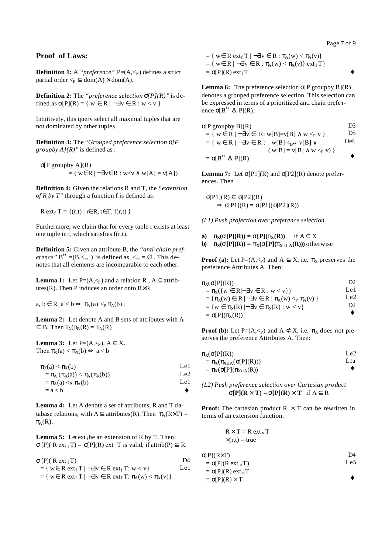Page 7 of 9

# **Proof of Laws:**

**Definition 1:** A "*preference*"  $P=(A,\leq_P)$  defines a strict partial order  $\leq_P \subseteq \text{dom}(A) \times \text{dom}(A)$ .

**Definition 2:** The *"preference selection s[P](R)"* is defined as  $\sigma[P](R) = \{ w \in R \mid \neg \exists v \in R : w < v \}$ 

Intuitively, this query select all maximal tuples that are not dominated by other tuples.

**Definition 3:** The "*Grouped preference selection s[P groupby A](R)"* is defined as :

$$
\begin{aligned} \n\sigma[P \text{ groupby } A](R) \\
&= \{ \ w \in R \mid \neg \exists v \in R : w < v \land w[A] = v[A] \} \n\end{aligned}
$$

**Definition 4:** Given the relations R and T, the *"extension of R by T"* through a function f is defined as:

 $R ext<sub>f</sub> T = {(r,t) | r \in R, t \in T, f(r,t)}$ 

Furthermore, we claim that for every tuple r exists at least one tuple in t, which satisfies f(r,t).

**Definition 5:** Given an attribute B, the *"anti-chain preference*"  $B^{\leftrightarrow} = (B, \leq)$  is defined as  $\leq \Rightarrow \emptyset$ . This denotes that all elements are incomparable to each other.

**Lemma 1:** Let  $P=(A,\leq_P)$  and a relation R,  $A \subseteq$  attributes(R). Then P induces an order onto R×R

 $a, b \in R$ ,  $a < b \Leftrightarrow \pi_A(a) <_P \pi_A(b)$ .

**Lemma 2:** Let denote A and B sets of attributes with A  $\subseteq$  B. Then  $\pi_A(\pi_B(R) = \pi_A(R))$ 

**Lemma 3:** Let  $P=(A,\leq_P)$ ,  $A \subseteq X$ . Then  $\pi_X(a) < \pi_X(b) \Leftrightarrow a < b$ 

| $\pi_{\rm X}(a) < \pi_{\rm X}(b)$                                                             | Le 1.            |
|-----------------------------------------------------------------------------------------------|------------------|
| $=$ $\pi$ <sub>A</sub> $(\pi$ <sub>X</sub> (a)) < $\pi$ <sub>A</sub> $(\pi$ <sub>X</sub> (b)) | Le <sub>2</sub>  |
| $=$ $\pi_{\mathbf{A}}(\mathbf{a}) <_{\mathbf{P}} \pi_{\mathbf{A}}(\mathbf{b})$                | Le 1.            |
| $= a < b$                                                                                     | $\bullet\bullet$ |

**Lemma 4:** Let A denote a set of attributes, R and T database relations, with  $A \subset$  attributes(R). Then  $\pi_A(R \times T) =$  $\pi$ <sub>A</sub> $(R)$ .

**Lemma 5:** Let ext  $_{f}$  be an extension of R by T. Then  $\sigma$  [P]( R ext <sub>f</sub> T) =  $\sigma$ [P](R) ext <sub>f</sub> T is valid, if attrib(P)  $\subseteq$  R.

| $\sigma$ [P]( R ext <sub>f</sub> T)                                                                    | 134  |
|--------------------------------------------------------------------------------------------------------|------|
| $= \{ w \in R \text{ ext}_{f} T   \neg \exists v \in R \text{ ext}_{f} T : w < v \}$                   | Le 1 |
| $= \{ w \in R \text{ ext}_{f} T   \neg \exists v \in R \text{ ext}_{f} T : \pi_{A}(w) < \pi_{A}(v) \}$ |      |

 $= \{ w \in R \text{ ext}_{f} T \mid \neg \exists v \in R : \pi_{A}(w) < \pi_{A}(v) \}$  $= \{ w \in R \mid \neg \exists v \in R : \pi_A(w) < \pi_A(v) \} \text{ ext}_{f} T \}$  $= \sigma[P](R)$  ext<sub>f</sub>T

**Lemma 6:** The preference selection  $\sigma[P]$  groupby  $B](R)$ denotes a grouped preference selection. This selection can be expressed in terms of a prioritized anti chain prefe rence  $\sigma[B^{\leftrightarrow} \& P](R)$ .

$$
\sigma[P \text{ groupby } B](R) \qquad \qquad \text{D3}
$$
\n
$$
= \{ w \in R \mid \neg \exists v \in R : w[B] = v[B] \land w <_{P} v \} \qquad \qquad \text{D5}
$$
\n
$$
= \{ w \in R \mid \neg \exists v \in R : w[B] <_{B \leftrightarrow} v[B] \lor \qquad \qquad \text{Def.}
$$
\n
$$
(w[B] = v[B] \land w <_{P} v) \} \qquad \qquad \text{.}
$$
\n
$$
= \sigma[B^{\leftrightarrow} \& P](R)
$$

**Lemma 7:** Let  $\sigma[P1](R)$  and  $\sigma[P2](R)$  denote preferences. Then

σ[P1](R) ⊆ σ[P2](R)  $\Rightarrow$  σ[P1](R) = σ[P1](σ[P2](R))

*(L1) Push projection over preference selection*

**a)**  $\mathbf{p}_X(\mathbf{s}[P](R)) = \mathbf{s}[P](\mathbf{p}_X(R))$  if  $A \subseteq X$ **b)**  $\mathbf{p}_X(\mathbf{s}[P](R)) = \mathbf{p}_X(\mathbf{s}[P](\mathbf{p}_X \mathbf{\tilde{E}}_A(R)))$  otherwise

**Proof (a):** Let P=( $A, \leq_P$ ) and  $A \subseteq X$ , i.e.  $\pi_X$  preserves the preference Attributes A. Then:

| $\pi_X(\sigma[P](R))$                                                      | D <sub>2</sub>   |
|----------------------------------------------------------------------------|------------------|
| $= \pi_X({w \in R} \rightarrow \exists v \in R : w < v})$                  | Le 1             |
| = { $\pi_X(w) \in R$   $\neg \exists v \in R : \pi_A(w) \leq_P \pi_A(v)$ } | Le $2$           |
| $= \{ w \in \pi_X(R)   \neg \exists v \in \pi_X(R) : w < v \}$             | D2.              |
| $= \sigma[P](\pi_X(R))$                                                    | $\bullet\bullet$ |

**Proof (b):** Let P=(A,  $\leq$  p) and A  $\subset \mathbb{X}$ , i.e.  $\pi_X$  does not preserves the preference Attributes A. Then:

| $\pi_X(\sigma[P](R))$                  | Le2              |
|----------------------------------------|------------------|
| $= \pi_X(\pi_{X\cup A}(\sigma[P](R)))$ | L1a              |
| $= \pi_X(\sigma[P](\pi_{X\cup A}(R))$  | $\bullet\bullet$ |

*(L2) Push preference selection over Cartesian product*  $\mathbf{s}[P](R \cdot T) = \mathbf{s}[P](R) \cdot T$  if  $A \subseteq R$ 

**Proof:** The cartesian product  $R \times T$  can be rewritten in terms of an extension function.

$$
R \times T = R \text{ ext}_{\times} T
$$
  
 
$$
\times (r,t) = true
$$

σ[P](R×T)  $= \sigma[P](R \text{ ext}_{\times} T)$  $=$  σ[P](R) ext<sub>x</sub> T  $=$  σ[P](R)  $\times$  T  $\overline{D4}$ Le5 **¨**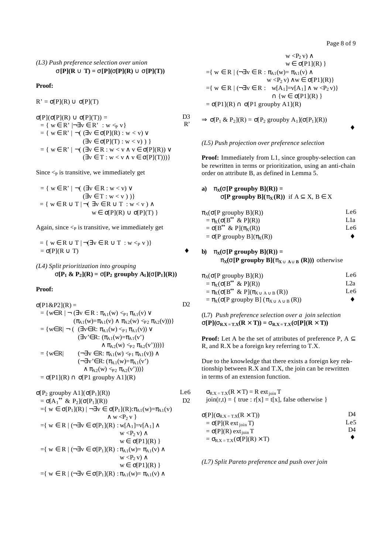**¨**

#### *(L3) Push preference selection over union*  $\mathbf{s}[P](R \mathbf{\tilde{E}} T) = \mathbf{s}[P](\mathbf{s}[P](R) \mathbf{\tilde{E}} \mathbf{s}[P](T))$

#### **Proof:**

 $R' = \sigma[P](R) \cup \sigma[P](T)$ 

σ[P](σ[P](R) ∪ σ[P](T)) =  $=\{ \text{ } w \in \, R \text{'} \mid \neg \exists \, v \in \, R \text{'} \; : \, w \lessdot_P v \, \}$  $= \{ w \in R' \mid \neg ( \exists v \in \sigma[P](R) : w < v ) \vee$  $(\exists v \in \sigma[P](T) : w < v) )$  $= \{ w \in R' \mid \neg ( \exists v \in R : w \le v \land v \in \sigma[P](R)) \vee$  $(\exists v \in T : w < v \land v \in \sigma[P](T)))$ D<sub>3</sub> R'

Since  $\leq_P$  is transitive, we immediately get

 $=\{ w \in R' \mid \neg (\exists v \in R : w < v) \vee$  $(\exists v \in T : w < v))$  $= \{ w \in R \cup T \mid \neg (\exists v \in R \cup T : w \le v) \land w \}$  $w \in \sigma[P](R) \cup \sigma[P](T)$ 

Again, since  $\lt_{P}$  is transitive, we immediately get

 $= \{ w \in R \cup T \mid \neg (\exists v \in R \cup T : w \leq_P v) \}$  $= \sigma[P](R \cup T)$ 

*(L4) Split prioritization into grouping*  ${\bf S}[P_1 \& P_2](R) = {\bf S}[P_2 \text{ group by } A_1]({\bf S}[P_1](R))$ 

#### **Proof:**

$$
\sigma[P1&P2](R) = \text{D2}
$$
\n
$$
= \{w \in R \mid \neg (\exists v \in R : \pi_{A1}(w) <_{P1} \pi_{A1}(v) \lor (\pi_{A1}(w) = \pi_{A1}(v) \land \pi_{A2}(w) <_{P2} \pi_{A2}(v)))\}
$$
\n
$$
= \{w \in R \mid \neg ((\exists v \in R : \pi_{A1}(w) <_{P1} \pi_{A1}(v)) \lor (\exists v' \in R : (\pi_{A1}(w) = \pi_{A1}(v')) \land \pi_{A2}(w) <_{P2} \pi_{A2}(v'))))\}
$$
\n
$$
= \{w \in R \mid (\neg \exists v \in R : \pi_{A1}(w) <_{P1} \pi_{A1}(v)) \land (\neg \exists v' \in R : (\pi_{A1}(w) = \pi_{A1}(v')) \land (\neg \exists v' \in R : (\pi_{A1}(w) = \pi_{A1}(v')) \land \pi_{A2}(w) <_{P2} \pi_{A2}(v')))\}
$$
\n
$$
= \sigma[P1](R) \cap \sigma[P1 \text{ groupby A1}](R)
$$

$$
\sigma[P_2 \text{ groupby } A1](\sigma[P_1](R))
$$
\n
$$
= \sigma[A_1^{\leftrightarrow} \& P_2](\sigma[P_1](R))
$$
\n
$$
= \{ w \in \sigma[P_1](R) | \neg \exists v \in \sigma[P_1](R) : \pi_{A1}(w) = \pi_{A1}(v) \land w < P_2 v \}
$$
\n
$$
= \{ w \in R | (\neg \exists v \in \sigma[P_1](R) : w[A_1] = v[A_1] \land w < P_2 v) \land w \in \sigma[P1](R) \}
$$
\n
$$
= \{ w \in R | (\neg \exists v \in \sigma[P_1](R) : \pi_{A1}(w) = \pi_{A1}(v) \land w < P_2 v) \land w \in \sigma[P1](R) \}
$$
\n
$$
= \{ w \in R | (\neg \exists v \in \sigma[P_1](R) : \pi_{A1}(w) = \pi_{A1}(v) \land w \in \sigma[P1](R) \}
$$

$$
w < P_2 v) \wedge
$$
  
\n
$$
w \in \sigma[P1](R)
$$
  
\n
$$
= \{ w \in R \mid (\neg \exists v \in R : \pi_{A1}(w) = \pi_{A1}(v) \land
$$
  
\n
$$
w < P_2 v) \land w \in \sigma[P1](R) \}
$$
  
\n
$$
= \{ w \in R \mid (\neg \exists v \in R : w[A_1] = v[A_1] \land w < P_2 v) \}
$$
  
\n
$$
\cap \{ w \in \sigma[P1](R) \}
$$
  
\n
$$
= \sigma[P1](R) \cap \sigma[P1 \text{ groupby A1](R)
$$

 $\Rightarrow$   $\sigma[P_1 \& P_2](R) = \sigma[P_2 \text{ groupby } A_1](\sigma[P_1](R))$ 

#### *(L5) Push projection over preference selection*

**Proof:** Immediately from L1, since groupby-selection can be rewritten in terms or prioritization, using an anti-chain order on attribute B, as defined in Lemma 5.

# **a**) **p** $\mathbf{p}$ **<b>(s[P** groupby **B**](**R**)) = **s**[P groupby B]( $\mathbf{p}_X(\mathbf{R})$ ) if  $A \subseteq X$ ,  $B \in X$

| $\pi_X(\sigma[P \text{ groupby } B](R))$       | Le6              |
|------------------------------------------------|------------------|
| $= \pi_X(\sigma[B^{\leftrightarrow} \& P](R))$ | L1a              |
| $= \sigma[B^{\leftrightarrow} \& P](\pi_X(R))$ | Le6              |
| $= \sigma[P$ groupby $B](\pi_X(R))$            | $\bullet\bullet$ |

# **b**) **p** $\mathbf{p}$ **<b>(s[P** groupby **B**](**R**)) =

 $\mathbf{p}_X(\mathbf{s}[P \text{ groupby } B](\mathbf{p}_X \mathbf{\tilde{E}}_A \mathbf{\tilde{E}}_B(R)))$  otherwise

| Le6              |
|------------------|
| 1.2a             |
| Le6              |
| $\bullet\bullet$ |
|                  |

(L7) *Push preference selection over a join selection*  $\mathbf{s}[P](\mathbf{s}_{R,X=T,X}(R \mid T)) = \mathbf{s}_{R,X=T,X}(\mathbf{s}[P](R \mid T))$ 

**Proof:** Let A be the set of attributes of preference P,  $A \subseteq$ R, and R.X be a foreign key referring to T.X.

Due to the knowledge that there exists a foreign key relationship between R.X and T.X, the join can be rewritten in terms of an extension function.

 $\sigma_{R.X = T.X}(R \times T) = R ext_{\text{ioin}} T$  $\text{join}(r,t) = \{ \text{ true} : r[x] = t[x], \text{ false otherwise } \}$ 

| $σ[P](σR.X = T.X(R × T))$                     | D4  |
|-----------------------------------------------|-----|
| $= \sigma[P](R ext_{\text{join}} T)$          | Le5 |
| $= \sigma[P](R)$ ext <sub>ioin</sub> T        | D4  |
| $= \sigma_{R.X = T.X}(\sigma[P](R) \times T)$ |     |

*(L7) Split Pareto preference and push over join*